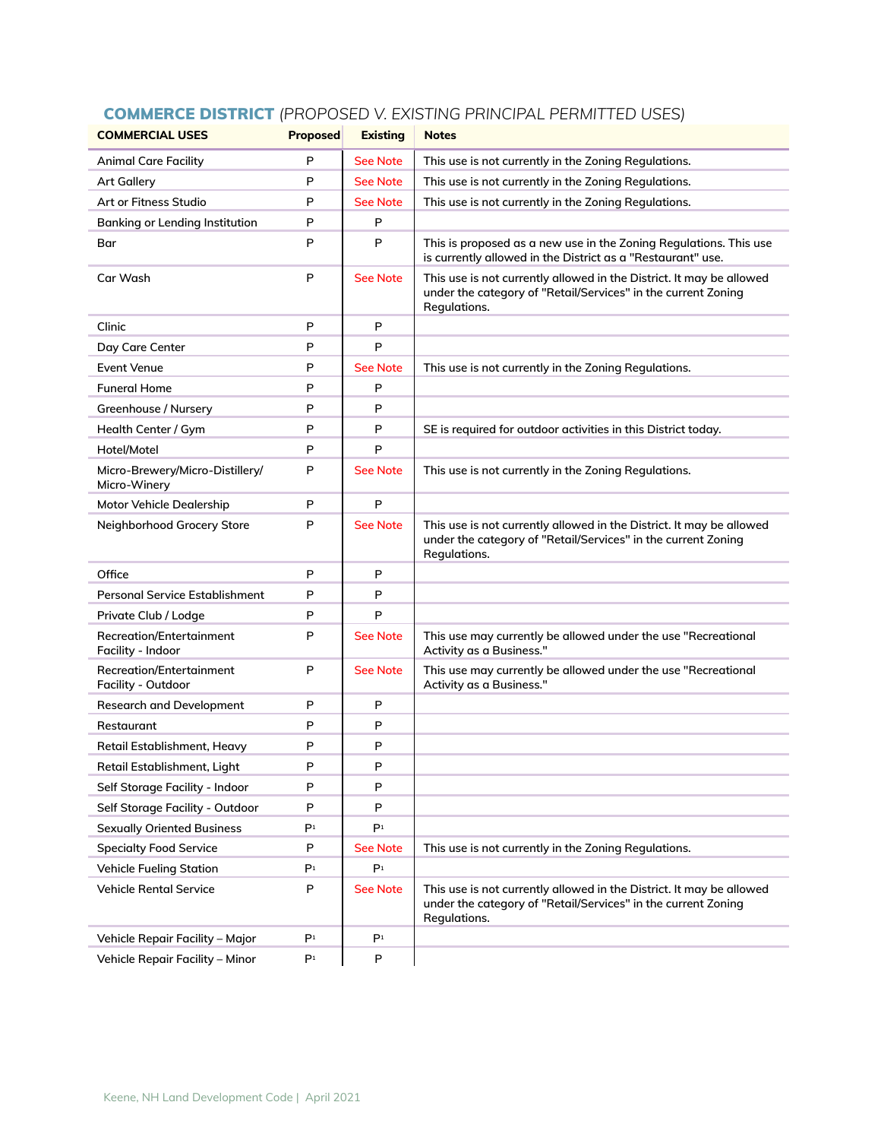| <b>COMMERCIAL USES</b>                                | <b>Proposed</b> | <b>Existing</b> | <b>Notes</b>                                                                                                                                          |
|-------------------------------------------------------|-----------------|-----------------|-------------------------------------------------------------------------------------------------------------------------------------------------------|
| <b>Animal Care Facility</b>                           | P               | <b>See Note</b> | This use is not currently in the Zoning Regulations.                                                                                                  |
| <b>Art Gallery</b>                                    | P               | <b>See Note</b> | This use is not currently in the Zoning Regulations.                                                                                                  |
| Art or Fitness Studio                                 | P               | <b>See Note</b> | This use is not currently in the Zoning Regulations.                                                                                                  |
| Banking or Lending Institution                        | P               | P               |                                                                                                                                                       |
| Bar                                                   | P               | P               | This is proposed as a new use in the Zoning Regulations. This use<br>is currently allowed in the District as a "Restaurant" use.                      |
| Car Wash                                              | P               | <b>See Note</b> | This use is not currently allowed in the District. It may be allowed<br>under the category of "Retail/Services" in the current Zoning<br>Regulations. |
| Clinic                                                | P               | P               |                                                                                                                                                       |
| Day Care Center                                       | P               | P               |                                                                                                                                                       |
| <b>Event Venue</b>                                    | P               | <b>See Note</b> | This use is not currently in the Zoning Regulations.                                                                                                  |
| <b>Funeral Home</b>                                   | P               | P               |                                                                                                                                                       |
| Greenhouse / Nursery                                  | P               | P               |                                                                                                                                                       |
| Health Center / Gym                                   | P               | P               | SE is required for outdoor activities in this District today.                                                                                         |
| Hotel/Motel                                           | P               | P               |                                                                                                                                                       |
| Micro-Brewery/Micro-Distillery/<br>Micro-Winery       | P               | <b>See Note</b> | This use is not currently in the Zoning Regulations.                                                                                                  |
| <b>Motor Vehicle Dealership</b>                       | P               | P               |                                                                                                                                                       |
| Neighborhood Grocery Store                            | P               | <b>See Note</b> | This use is not currently allowed in the District. It may be allowed<br>under the category of "Retail/Services" in the current Zoning<br>Regulations. |
| Office                                                | P               | P               |                                                                                                                                                       |
| <b>Personal Service Establishment</b>                 | P               | P               |                                                                                                                                                       |
| Private Club / Lodge                                  | P               | P               |                                                                                                                                                       |
| <b>Recreation/Entertainment</b><br>Facility - Indoor  | P               | <b>See Note</b> | This use may currently be allowed under the use "Recreational<br>Activity as a Business."                                                             |
| <b>Recreation/Entertainment</b><br>Facility - Outdoor | P               | <b>See Note</b> | This use may currently be allowed under the use "Recreational<br>Activity as a Business."                                                             |
| <b>Research and Development</b>                       | P               | P               |                                                                                                                                                       |
| Restaurant                                            | P               | P               |                                                                                                                                                       |
| Retail Establishment, Heavy                           | P               | P               |                                                                                                                                                       |
| Retail Establishment, Light                           | P               | P               |                                                                                                                                                       |
| Self Storage Facility - Indoor                        | P               | P               |                                                                                                                                                       |
| Self Storage Facility - Outdoor                       | P               | P               |                                                                                                                                                       |
| <b>Sexually Oriented Business</b>                     | P <sub>1</sub>  | P <sub>1</sub>  |                                                                                                                                                       |
| <b>Specialty Food Service</b>                         | P               | <b>See Note</b> | This use is not currently in the Zoning Regulations.                                                                                                  |
| <b>Vehicle Fueling Station</b>                        | P <sup>1</sup>  | P <sub>1</sub>  |                                                                                                                                                       |
| <b>Vehicle Rental Service</b>                         | P               | <b>See Note</b> | This use is not currently allowed in the District. It may be allowed<br>under the category of "Retail/Services" in the current Zoning<br>Regulations. |
| Vehicle Repair Facility - Major                       | P <sup>1</sup>  | P <sup>1</sup>  |                                                                                                                                                       |
| Vehicle Repair Facility - Minor                       | P <sub>1</sub>  | P               |                                                                                                                                                       |

## COMMERCE DISTRICT *(PROPOSED V. EXISTING PRINCIPAL PERMITTED USES)*